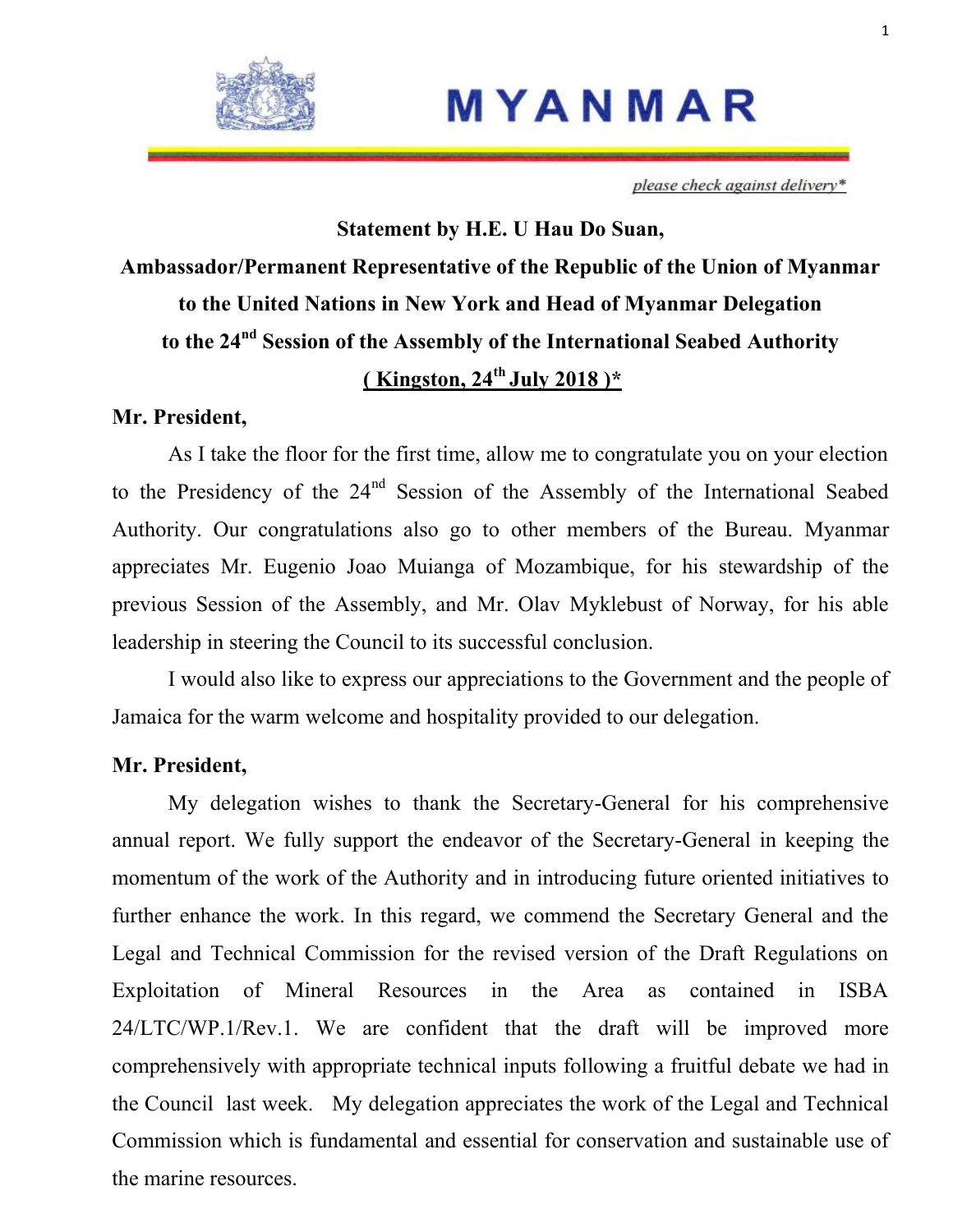

# MYANMAR

please check against delivery\*

# **Statement by H.E. U Hau Do Suan, Ambassador/Permanent Representative of the Republic of the Union of Myanmar to the United Nations in New York and Head of Myanmar Delegation to the 24nd Session of the Assembly of the International Seabed Authority ( Kingston, 24th July 2018 )\***

## **Mr. President,**

As I take the floor for the first time, allow me to congratulate you on your election to the Presidency of the 24<sup>nd</sup> Session of the Assembly of the International Seabed Authority. Our congratulations also go to other members of the Bureau. Myanmar appreciates Mr. Eugenio Joao Muianga of Mozambique, for his stewardship of the previous Session of the Assembly, and Mr. Olav Myklebust of Norway, for his able leadership in steering the Council to its successful conclusion.

I would also like to express our appreciations to the Government and the people of Jamaica for the warm welcome and hospitality provided to our delegation.

# **Mr. President,**

My delegation wishes to thank the Secretary-General for his comprehensive annual report. We fully support the endeavor of the Secretary-General in keeping the momentum of the work of the Authority and in introducing future oriented initiatives to further enhance the work. In this regard, we commend the Secretary General and the Legal and Technical Commission for the revised version of the Draft Regulations on Exploitation of Mineral Resources in the Area as contained in ISBA 24/LTC/WP.1/Rev.1. We are confident that the draft will be improved more comprehensively with appropriate technical inputs following a fruitful debate we had in the Council last week. My delegation appreciates the work of the Legal and Technical Commission which is fundamental and essential for conservation and sustainable use of the marine resources.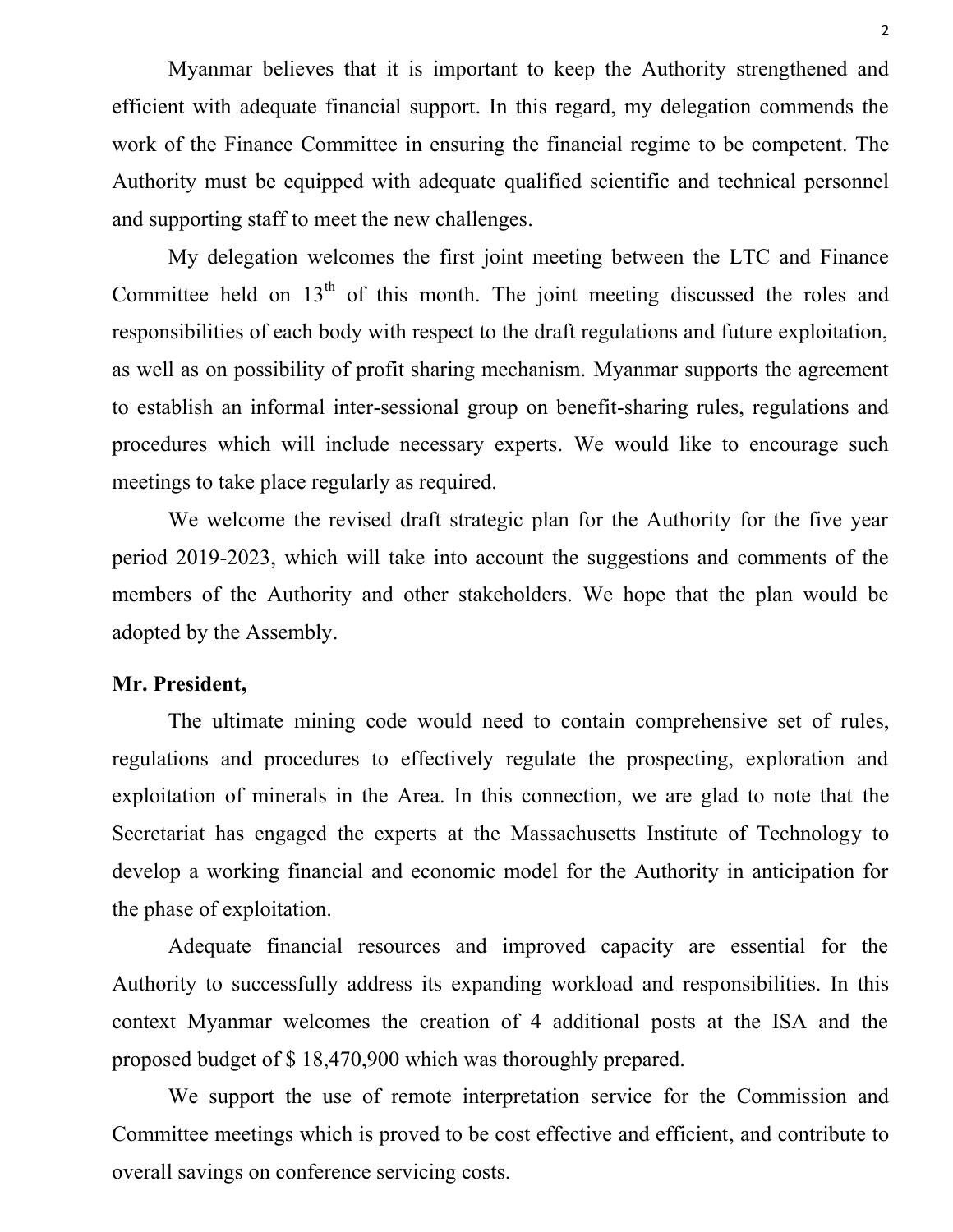Myanmar believes that it is important to keep the Authority strengthened and efficient with adequate financial support. In this regard, my delegation commends the work of the Finance Committee in ensuring the financial regime to be competent. The Authority must be equipped with adequate qualified scientific and technical personnel and supporting staff to meet the new challenges.

My delegation welcomes the first joint meeting between the LTC and Finance Committee held on  $13<sup>th</sup>$  of this month. The joint meeting discussed the roles and responsibilities of each body with respect to the draft regulations and future exploitation, as well as on possibility of profit sharing mechanism. Myanmar supports the agreement to establish an informal inter-sessional group on benefit-sharing rules, regulations and procedures which will include necessary experts. We would like to encourage such meetings to take place regularly as required.

We welcome the revised draft strategic plan for the Authority for the five year period 2019-2023, which will take into account the suggestions and comments of the members of the Authority and other stakeholders. We hope that the plan would be adopted by the Assembly.

#### **Mr. President,**

The ultimate mining code would need to contain comprehensive set of rules, regulations and procedures to effectively regulate the prospecting, exploration and exploitation of minerals in the Area. In this connection, we are glad to note that the Secretariat has engaged the experts at the Massachusetts Institute of Technology to develop a working financial and economic model for the Authority in anticipation for the phase of exploitation.

Adequate financial resources and improved capacity are essential for the Authority to successfully address its expanding workload and responsibilities. In this context Myanmar welcomes the creation of 4 additional posts at the ISA and the proposed budget of \$ 18,470,900 which was thoroughly prepared.

We support the use of remote interpretation service for the Commission and Committee meetings which is proved to be cost effective and efficient, and contribute to overall savings on conference servicing costs.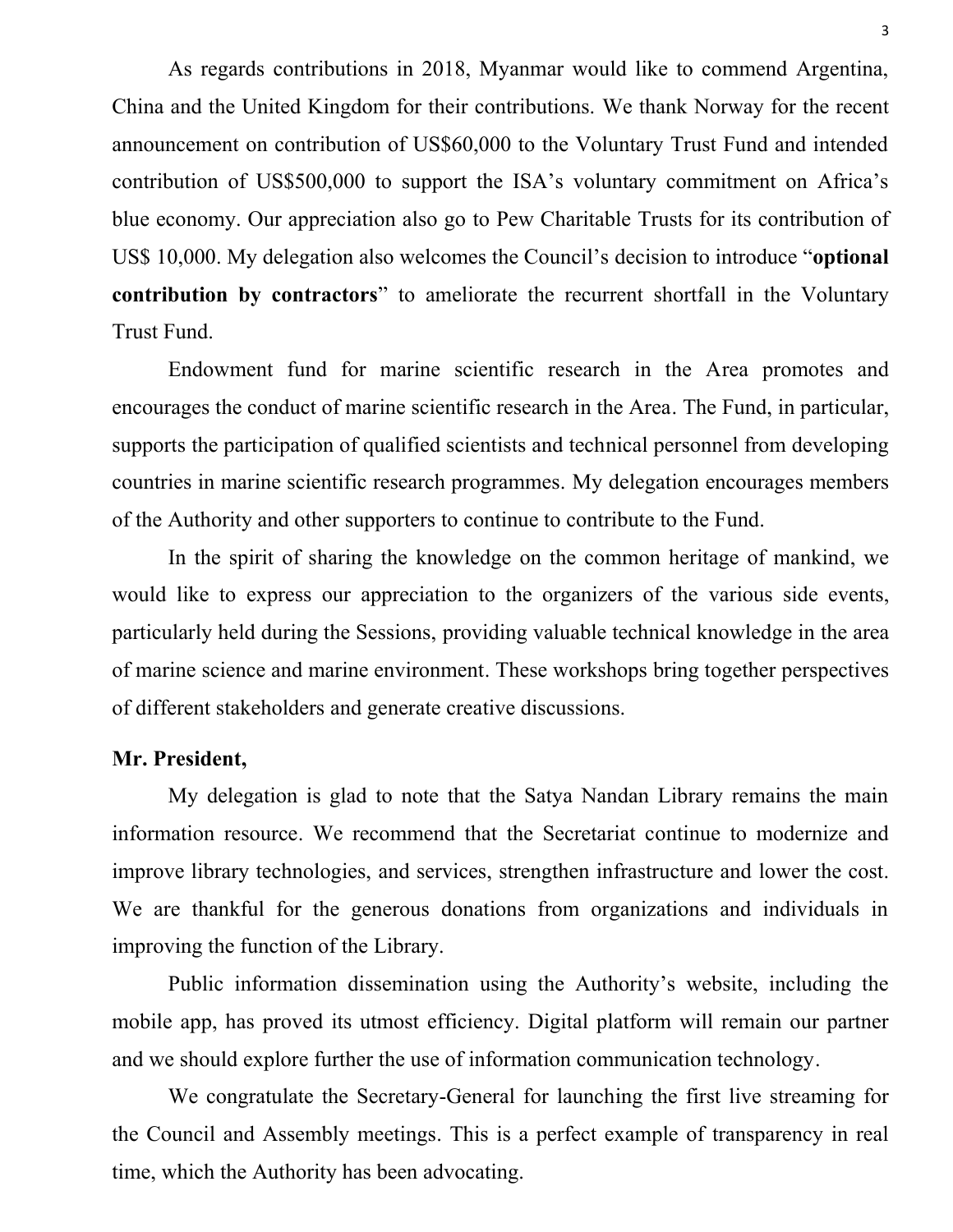As regards contributions in 2018, Myanmar would like to commend Argentina, China and the United Kingdom for their contributions. We thank Norway for the recent announcement on contribution of US\$60,000 to the Voluntary Trust Fund and intended contribution of US\$500,000 to support the ISA's voluntary commitment on Africa's blue economy. Our appreciation also go to Pew Charitable Trusts for its contribution of US\$ 10,000. My delegation also welcomes the Council's decision to introduce "**optional contribution by contractors**" to ameliorate the recurrent shortfall in the Voluntary Trust Fund.

Endowment fund for marine scientific research in the Area promotes and encourages the conduct of marine scientific research in the Area. The Fund, in particular, supports the participation of qualified scientists and technical personnel from developing countries in marine scientific research programmes. My delegation encourages members of the Authority and other supporters to continue to contribute to the Fund.

In the spirit of sharing the knowledge on the common heritage of mankind, we would like to express our appreciation to the organizers of the various side events, particularly held during the Sessions, providing valuable technical knowledge in the area of marine science and marine environment. These workshops bring together perspectives of different stakeholders and generate creative discussions.

## **Mr. President,**

My delegation is glad to note that the Satya Nandan Library remains the main information resource. We recommend that the Secretariat continue to modernize and improve library technologies, and services, strengthen infrastructure and lower the cost. We are thankful for the generous donations from organizations and individuals in improving the function of the Library.

Public information dissemination using the Authority's website, including the mobile app, has proved its utmost efficiency. Digital platform will remain our partner and we should explore further the use of information communication technology.

We congratulate the Secretary-General for launching the first live streaming for the Council and Assembly meetings. This is a perfect example of transparency in real time, which the Authority has been advocating.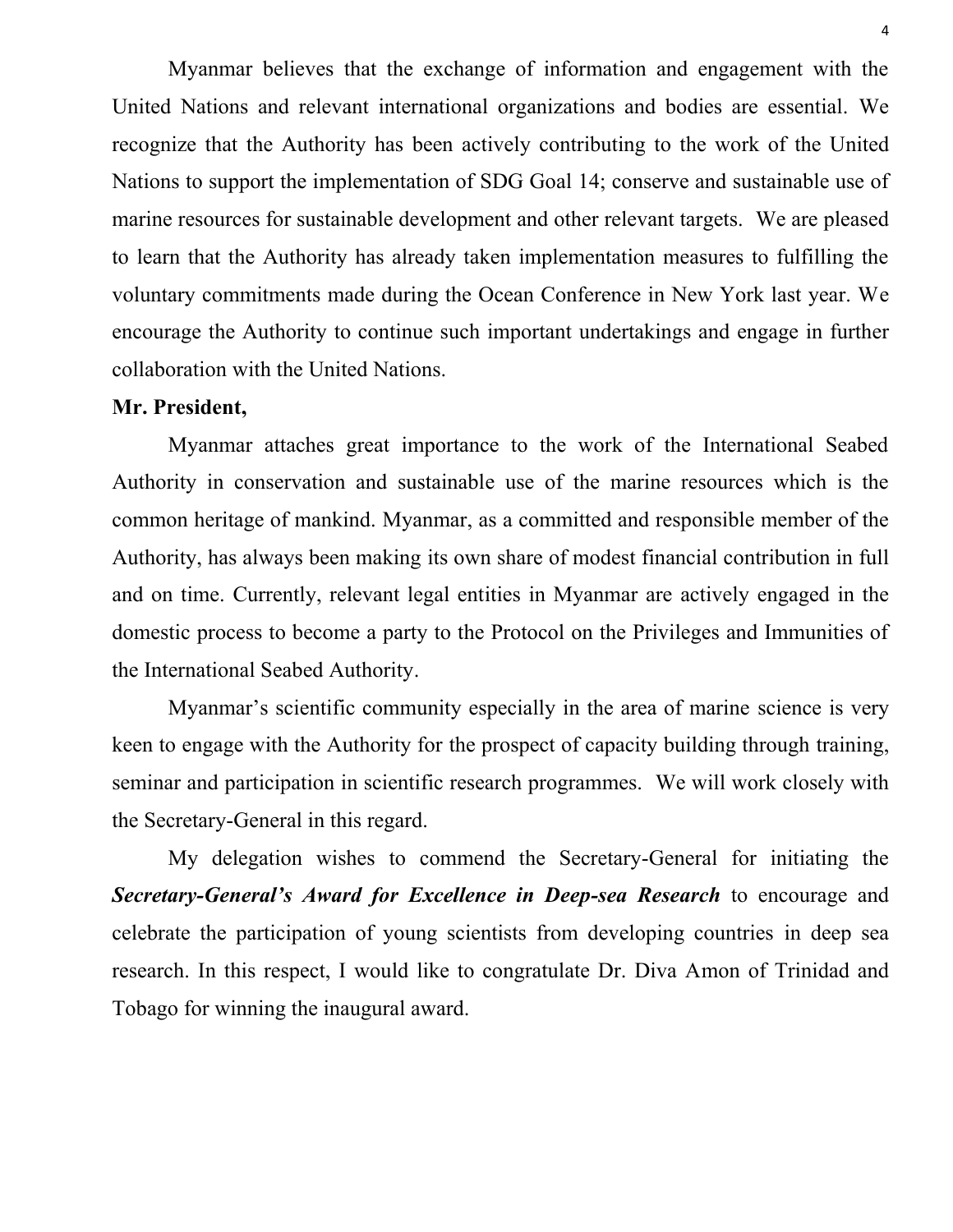Myanmar believes that the exchange of information and engagement with the United Nations and relevant international organizations and bodies are essential. We recognize that the Authority has been actively contributing to the work of the United Nations to support the implementation of SDG Goal 14; conserve and sustainable use of marine resources for sustainable development and other relevant targets. We are pleased to learn that the Authority has already taken implementation measures to fulfilling the voluntary commitments made during the Ocean Conference in New York last year. We encourage the Authority to continue such important undertakings and engage in further collaboration with the United Nations.

# **Mr. President,**

Myanmar attaches great importance to the work of the International Seabed Authority in conservation and sustainable use of the marine resources which is the common heritage of mankind. Myanmar, as a committed and responsible member of the Authority, has always been making its own share of modest financial contribution in full and on time. Currently, relevant legal entities in Myanmar are actively engaged in the domestic process to become a party to the Protocol on the Privileges and Immunities of the International Seabed Authority.

Myanmar's scientific community especially in the area of marine science is very keen to engage with the Authority for the prospect of capacity building through training, seminar and participation in scientific research programmes. We will work closely with the Secretary-General in this regard.

My delegation wishes to commend the Secretary-General for initiating the *Secretary-General's Award for Excellence in Deep-sea Research* to encourage and celebrate the participation of young scientists from developing countries in deep sea research. In this respect, I would like to congratulate Dr. Diva Amon of Trinidad and Tobago for winning the inaugural award.